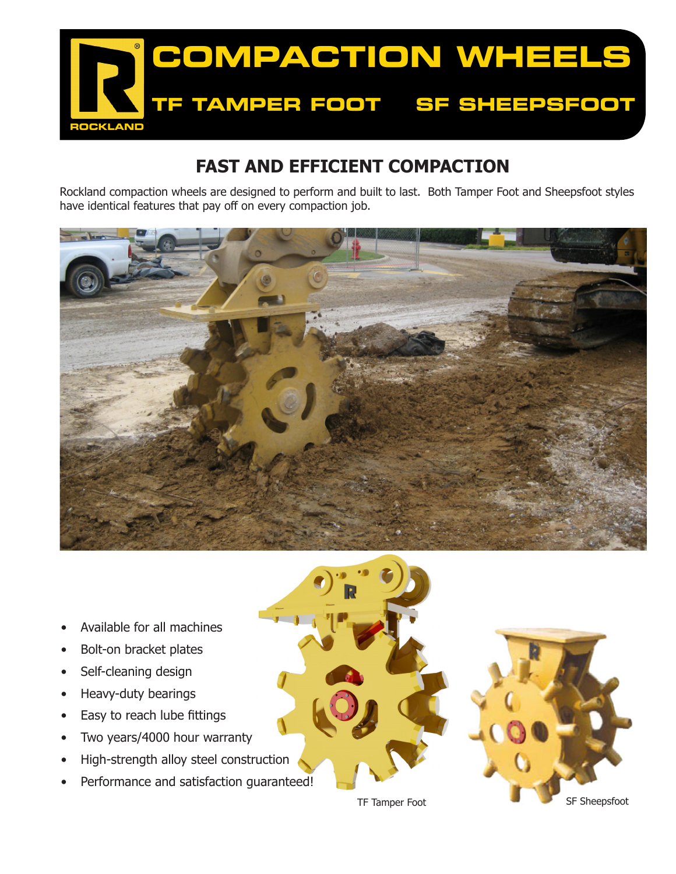

## **FAST AND EFFICIENT COMPACTION**

Rockland compaction wheels are designed to perform and built to last. Both Tamper Foot and Sheepsfoot styles have identical features that pay off on every compaction job.



- Available for all machines
- Bolt-on bracket plates
- Self-cleaning design
- Heavy-duty bearings
- Easy to reach lube fittings
- Two years/4000 hour warranty
- High-strength alloy steel construction
- Performance and satisfaction guaranteed!